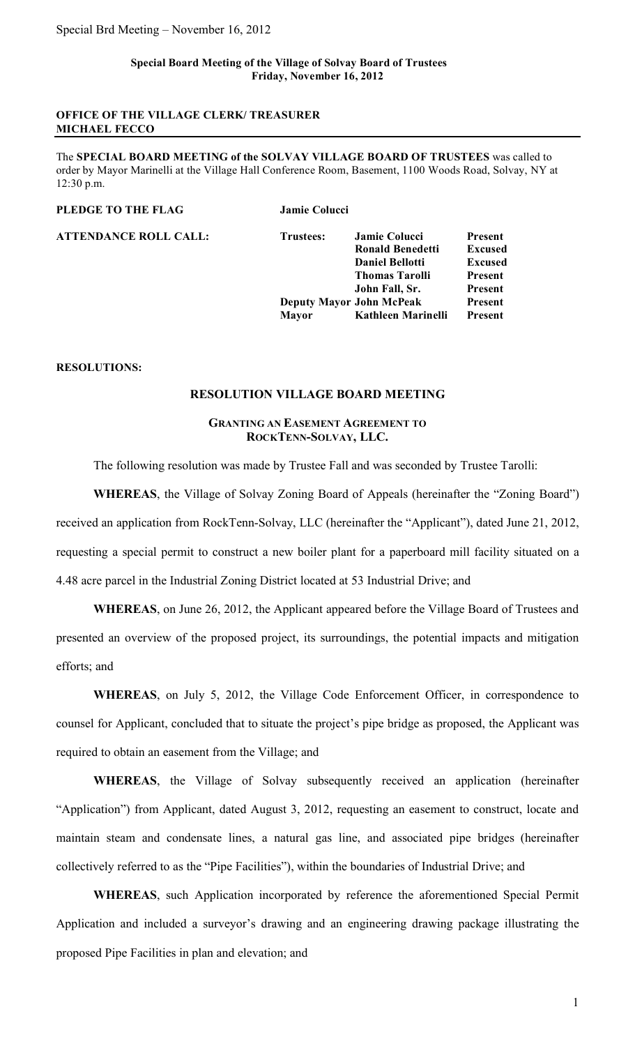### **Special Board Meeting of the Village of Solvay Board of Trustees Friday, November 16, 2012**

### **OFFICE OF THE VILLAGE CLERK/ TREASURER MICHAEL FECCO**

The **SPECIAL BOARD MEETING of the SOLVAY VILLAGE BOARD OF TRUSTEES** was called to order by Mayor Marinelli at the Village Hall Conference Room, Basement, 1100 Woods Road, Solvay, NY at 12:30 p.m.

### **PLEDGE TO THE FLAG Jamie Colucci**

**ATTENDANCE ROLL CALL: Trustees: Jamie Colucci Present Ronald Benedetti Excused Daniel Bellotti Excused Thomas Tarolli Present John Fall, Sr. Present Deputy Mayor John McPeak Present Mayor Kathleen Marinelli Present**

## **RESOLUTIONS:**

### **RESOLUTION VILLAGE BOARD MEETING**

### **GRANTING AN EASEMENT AGREEMENT TO ROCKTENN-SOLVAY, LLC.**

The following resolution was made by Trustee Fall and was seconded by Trustee Tarolli:

**WHEREAS**, the Village of Solvay Zoning Board of Appeals (hereinafter the "Zoning Board") received an application from RockTenn-Solvay, LLC (hereinafter the "Applicant"), dated June 21, 2012, requesting a special permit to construct a new boiler plant for a paperboard mill facility situated on a 4.48 acre parcel in the Industrial Zoning District located at 53 Industrial Drive; and

**WHEREAS**, on June 26, 2012, the Applicant appeared before the Village Board of Trustees and presented an overview of the proposed project, its surroundings, the potential impacts and mitigation efforts; and

**WHEREAS**, on July 5, 2012, the Village Code Enforcement Officer, in correspondence to counsel for Applicant, concluded that to situate the project's pipe bridge as proposed, the Applicant was required to obtain an easement from the Village; and

**WHEREAS**, the Village of Solvay subsequently received an application (hereinafter "Application") from Applicant, dated August 3, 2012, requesting an easement to construct, locate and maintain steam and condensate lines, a natural gas line, and associated pipe bridges (hereinafter collectively referred to as the "Pipe Facilities"), within the boundaries of Industrial Drive; and

**WHEREAS**, such Application incorporated by reference the aforementioned Special Permit Application and included a surveyor's drawing and an engineering drawing package illustrating the proposed Pipe Facilities in plan and elevation; and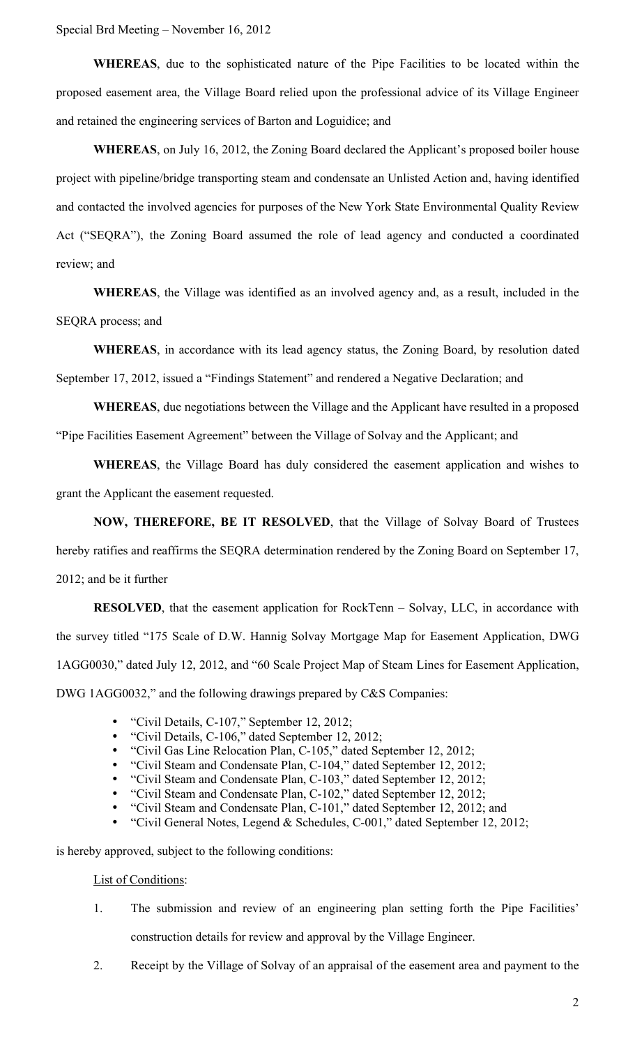Special Brd Meeting – November 16, 2012

**WHEREAS**, due to the sophisticated nature of the Pipe Facilities to be located within the proposed easement area, the Village Board relied upon the professional advice of its Village Engineer and retained the engineering services of Barton and Loguidice; and

**WHEREAS**, on July 16, 2012, the Zoning Board declared the Applicant's proposed boiler house project with pipeline/bridge transporting steam and condensate an Unlisted Action and, having identified and contacted the involved agencies for purposes of the New York State Environmental Quality Review Act ("SEQRA"), the Zoning Board assumed the role of lead agency and conducted a coordinated review; and

**WHEREAS**, the Village was identified as an involved agency and, as a result, included in the SEQRA process; and

**WHEREAS**, in accordance with its lead agency status, the Zoning Board, by resolution dated September 17, 2012, issued a "Findings Statement" and rendered a Negative Declaration; and

**WHEREAS**, due negotiations between the Village and the Applicant have resulted in a proposed "Pipe Facilities Easement Agreement" between the Village of Solvay and the Applicant; and

**WHEREAS**, the Village Board has duly considered the easement application and wishes to grant the Applicant the easement requested.

**NOW, THEREFORE, BE IT RESOLVED**, that the Village of Solvay Board of Trustees hereby ratifies and reaffirms the SEQRA determination rendered by the Zoning Board on September 17, 2012; and be it further

**RESOLVED**, that the easement application for RockTenn – Solvay, LLC, in accordance with the survey titled "175 Scale of D.W. Hannig Solvay Mortgage Map for Easement Application, DWG 1AGG0030," dated July 12, 2012, and "60 Scale Project Map of Steam Lines for Easement Application, DWG 1AGG0032," and the following drawings prepared by C&S Companies:

- "Civil Details, C-107," September 12, 2012;
- "Civil Details, C-106," dated September 12, 2012;
- "Civil Gas Line Relocation Plan, C-105," dated September 12, 2012;
- "Civil Steam and Condensate Plan, C-104," dated September 12, 2012;
- "Civil Steam and Condensate Plan, C-103," dated September 12, 2012;
- "Civil Steam and Condensate Plan, C-102," dated September 12, 2012;
- "Civil Steam and Condensate Plan, C-101," dated September 12, 2012; and
- "Civil General Notes, Legend & Schedules, C-001," dated September 12, 2012;

is hereby approved, subject to the following conditions:

List of Conditions:

- 1. The submission and review of an engineering plan setting forth the Pipe Facilities' construction details for review and approval by the Village Engineer.
- 2. Receipt by the Village of Solvay of an appraisal of the easement area and payment to the